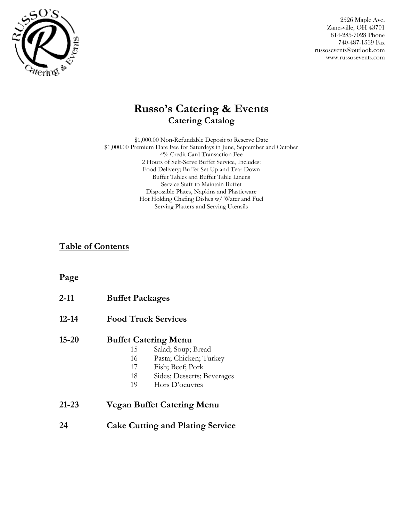

## **Russo's Catering & Events Catering Catalog**

\$1,000.00 Non-Refundable Deposit to Reserve Date \$1,000.00 Premium Date Fee for Saturdays in June, September and October 4% Credit Card Transaction Fee 2 Hours of Self-Serve Buffet Service, Includes: Food Delivery; Buffet Set Up and Tear Down Buffet Tables and Buffet Table Linens Service Staff to Maintain Buffet Disposable Plates, Napkins and Plasticware Hot Holding Chafing Dishes w/ Water and Fuel Serving Platters and Serving Utensils

### **Table of Contents**

### **Page**

| $2 - 11$  | <b>Buffet Packages</b> |                                         |
|-----------|------------------------|-----------------------------------------|
| $12 - 14$ |                        | <b>Food Truck Services</b>              |
| $15 - 20$ |                        | <b>Buffet Catering Menu</b>             |
|           | 15                     | Salad; Soup; Bread                      |
|           | 16                     | Pasta; Chicken; Turkey                  |
|           | 17                     | Fish; Beef; Pork                        |
|           | 18                     | Sides; Desserts; Beverages              |
|           | 19                     | Hors D'oeuvres                          |
| $21 - 23$ |                        | Vegan Buffet Catering Menu              |
| 24        |                        | <b>Cake Cutting and Plating Service</b> |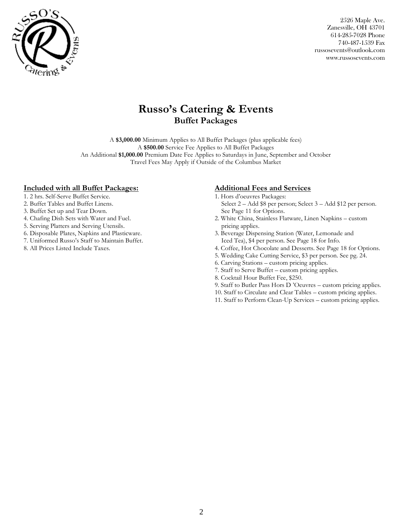

## **Russo's Catering & Events Buffet Packages**

A **\$3,000.00** Minimum Applies to All Buffet Packages (plus applicable fees) A **\$500.00** Service Fee Applies to All Buffet Packages An Additional **\$1,000.00** Premium Date Fee Applies to Saturdays in June, September and October Travel Fees May Apply if Outside of the Columbus Market

#### **Included with all Buffet Packages:**

- 1. 2 hrs. Self-Serve Buffet Service.
- 2. Buffet Tables and Buffet Linens.
- 3. Buffet Set up and Tear Down.
- 4. Chafing Dish Sets with Water and Fuel.
- 5. Serving Platters and Serving Utensils.
- 6. Disposable Plates, Napkins and Plasticware.
- 7. Uniformed Russo's Staff to Maintain Buffet.
- 8. All Prices Listed Include Taxes.

#### **Additional Fees and Services**

- 1. Hors d'oeuvres Packages: Select 2 – Add \$8 per person; Select 3 – Add \$12 per person.
- See Page 11 for Options. 2. White China, Stainless Flatware, Linen Napkins – custom pricing applies.
- 3. Beverage Dispensing Station (Water, Lemonade and Iced Tea), \$4 per person. See Page 18 for Info.
- 4. Coffee, Hot Chocolate and Desserts. See Page 18 for Options.
- 5. Wedding Cake Cutting Service, \$3 per person. See pg. 24.
- 6. Carving Stations custom pricing applies.
- 7. Staff to Serve Buffet custom pricing applies.
- 8. Cocktail Hour Buffet Fee, \$250.
- 9. Staff to Butler Pass Hors D 'Oeuvres custom pricing applies.
- 10. Staff to Circulate and Clear Tables custom pricing applies.
- 11. Staff to Perform Clean-Up Services custom pricing applies.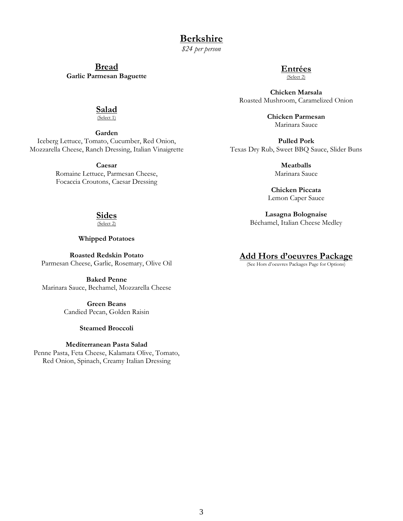**Berkshire** 

*\$24 per person*

**Bread Garlic Parmesan Baguette**

### **Entrées**

(Select 2)

**Chicken Marsala** Roasted Mushroom, Caramelized Onion

> **Chicken Parmesan** Marinara Sauce

**Pulled Pork** Texas Dry Rub, Sweet BBQ Sauce, Slider Buns

> **Meatballs** Marinara Sauce

**Chicken Piccata** Lemon Caper Sauce

**Lasagna Bolognaise** Béchamel, Italian Cheese Medley

#### **Add Hors d'oeuvres Package**

(See Hors d'oeuvres Packages Page for Options)

**Salad**

(Select 1)

**Garden** Iceberg Lettuce, Tomato, Cucumber, Red Onion, Mozzarella Cheese, Ranch Dressing, Italian Vinaigrette

> **Caesar** Romaine Lettuce, Parmesan Cheese, Focaccia Croutons, Caesar Dressing

## **Sides**

(Select 2)

**Whipped Potatoes**

**Roasted Redskin Potato** Parmesan Cheese, Garlic, Rosemary, Olive Oil

**Baked Penne** Marinara Sauce, Bechamel, Mozzarella Cheese

> **Green Beans** Candied Pecan, Golden Raisin

#### **Steamed Broccoli**

#### **Mediterranean Pasta Salad**

Penne Pasta, Feta Cheese, Kalamata Olive, Tomato, Red Onion, Spinach, Creamy Italian Dressing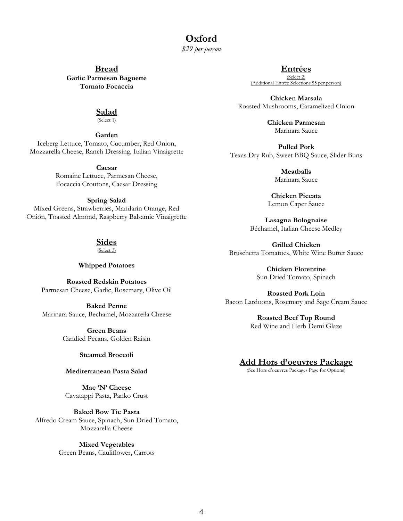# **Oxford**

*\$29 per person*

**Bread Garlic Parmesan Baguette Tomato Focaccia**

#### **Entrées**

(Select 2) (Additional Entrée Selections)

**Chicken Marsala** Roasted Mushrooms, Caramelized Onion

> **Chicken Parmesan** Marinara Sauce

**Pulled Pork** Texas Dry Rub, Sweet BBQ Sauce, Slider Buns

> **Meatballs** Marinara Sauce

**Chicken Piccata** Lemon Caper Sauce

**Lasagna Bolognaise** Béchamel, Italian Cheese Medley

**Grilled Chicken** Bruschetta Tomatoes, White Wine Butter Sauce

> **Chicken Florentine** Sun Dried Tomato, Spinach

**Roasted Pork Loin** Bacon Lardoons, Rosemary and Sage Cream Sauce

> **Roasted Beef Top Round** Red Wine and Herb Demi Glaze

#### **Add Hors d'oeuvres Package**

(See Hors d'oeuvres Packages Page for Options)

# **Salad**

(Select 1)

**Garden** Iceberg Lettuce, Tomato, Cucumber, Red Onion, Mozzarella Cheese, Ranch Dressing, Italian Vinaigrette

**Caesar**

Romaine Lettuce, Parmesan Cheese, Focaccia Croutons, Caesar Dressing

#### **Spring Salad**

Mixed Greens, Strawberries, Mandarin Orange, Red Onion, Toasted Almond, Raspberry Balsamic Vinaigrette

## **Sides**

(Select 3)

#### **Whipped Potatoes**

**Roasted Redskin Potatoes** Parmesan Cheese, Garlic, Rosemary, Olive Oil

**Baked Penne** Marinara Sauce, Bechamel, Mozzarella Cheese

> **Green Beans** Candied Pecans, Golden Raisin

#### **Steamed Broccoli**

#### **Mediterranean Pasta Salad**

**Mac 'N' Cheese** Cavatappi Pasta, Panko Crust

**Baked Bow Tie Pasta** Alfredo Cream Sauce, Spinach, Sun Dried Tomato, Mozzarella Cheese

> **Mixed Vegetables** Green Beans, Cauliflower, Carrots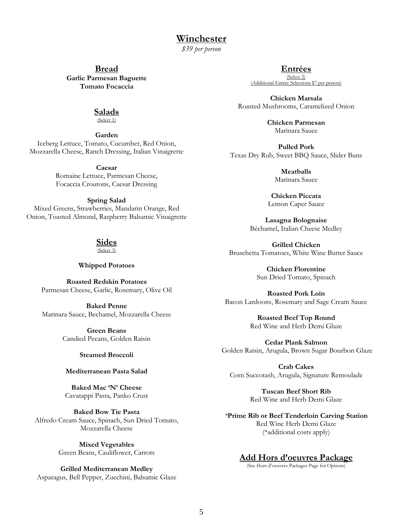### **Winchester**

*\$39 per person*

**Bread Garlic Parmesan Baguette Tomato Focaccia**

#### **Entrées**

(Select 2) (Additional Entrée Selecti

**Chicken Marsala** Roasted Mushrooms, Caramelized Onion

> **Chicken Parmesan** Marinara Sauce

**Pulled Pork** Texas Dry Rub, Sweet BBQ Sauce, Slider Buns

> **Meatballs** Marinara Sauce

**Chicken Piccata** Lemon Caper Sauce

**Lasagna Bolognaise** Béchamel, Italian Cheese Medley

**Grilled Chicken** Bruschetta Tomatoes, White Wine Butter Sauce

> **Chicken Florentine** Sun Dried Tomato, Spinach

**Roasted Pork Loin** Bacon Lardoons, Rosemary and Sage Cream Sauce

> **Roasted Beef Top Round** Red Wine and Herb Demi Glaze

**Cedar Plank Salmon** Golden Raisin, Arugula, Brown Sugar Bourbon Glaze

**Crab Cakes**  Corn Succotash, Arugula, Signature Remoulade

> **Tuscan Beef Short Rib** Red Wine and Herb Demi Glaze

*\****Prime Rib or Beef Tenderloin Carving Station** Red Wine Herb Demi Glaze (\*additional costs apply)

#### **Add Hors d'oeuvres Package**

(See Hors d'oeuvres Packages Page for Options)

#### **Salads**

(Select 1)

**Garden**

Iceberg Lettuce, Tomato, Cucumber, Red Onion, Mozzarella Cheese, Ranch Dressing, Italian Vinaigrette

**Caesar** 

Romaine Lettuce, Parmesan Cheese, Focaccia Croutons, Caesar Dressing

#### **Spring Salad**

Mixed Greens, Strawberries, Mandarin Orange, Red Onion, Toasted Almond, Raspberry Balsamic Vinaigrette

## **Sides**

(Select 3)

#### **Whipped Potatoes**

**Roasted Redskin Potatoes** Parmesan Cheese, Garlic, Rosemary, Olive Oil

**Baked Penne** Marinara Sauce, Bechamel, Mozzarella Cheese

> **Green Beans** Candied Pecans, Golden Raisin

#### **Steamed Broccoli**

#### **Mediterranean Pasta Salad**

**Baked Mac 'N' Cheese** Cavatappi Pasta, Panko Crust

**Baked Bow Tie Pasta** Alfredo Cream Sauce, Spinach, Sun Dried Tomato, Mozzarella Cheese

> **Mixed Vegetables** Green Beans, Cauliflower, Carrots

**Grilled Mediterranean Medley** Asparagus, Bell Pepper, Zucchini, Balsamic Glaze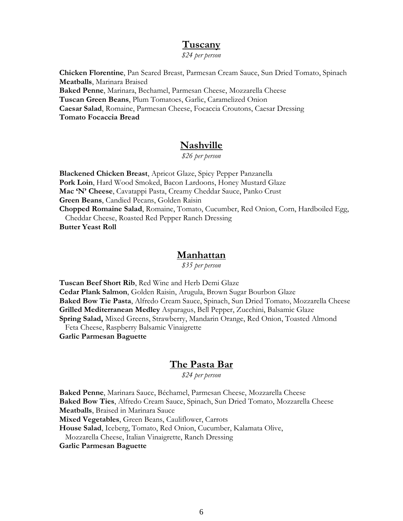### **Tuscany**

*\$24 per person*

**Chicken Florentine**, Pan Seared Breast, Parmesan Cream Sauce, Sun Dried Tomato, Spinach **Meatballs**, Marinara Braised **Baked Penne**, Marinara, Bechamel, Parmesan Cheese, Mozzarella Cheese **Tuscan Green Beans**, Plum Tomatoes, Garlic, Caramelized Onion **Caesar Salad**, Romaine, Parmesan Cheese, Focaccia Croutons, Caesar Dressing **Tomato Focaccia Bread**

### **Nashville**

*\$26 per person*

**Blackened Chicken Breast**, Apricot Glaze, Spicy Pepper Panzanella **Pork Loin**, Hard Wood Smoked, Bacon Lardoons, Honey Mustard Glaze **Mac 'N' Cheese**, Cavatappi Pasta, Creamy Cheddar Sauce, Panko Crust **Green Beans**, Candied Pecans, Golden Raisin **Chopped Romaine Salad**, Romaine, Tomato, Cucumber, Red Onion, Corn, Hardboiled Egg, Cheddar Cheese, Roasted Red Pepper Ranch Dressing **Butter Yeast Roll**

### **Manhattan**

*\$35 per person*

**Tuscan Beef Short Rib**, Red Wine and Herb Demi Glaze **Cedar Plank Salmon**, Golden Raisin, Arugula, Brown Sugar Bourbon Glaze **Baked Bow Tie Pasta**, Alfredo Cream Sauce, Spinach, Sun Dried Tomato, Mozzarella Cheese **Grilled Mediterranean Medley** Asparagus, Bell Pepper, Zucchini, Balsamic Glaze **Spring Salad,** Mixed Greens, Strawberry, Mandarin Orange, Red Onion, Toasted Almond Feta Cheese, Raspberry Balsamic Vinaigrette **Garlic Parmesan Baguette** 

### **The Pasta Bar**

*\$24 per person*

**Baked Penne**, Marinara Sauce, Béchamel, Parmesan Cheese, Mozzarella Cheese **Baked Bow Ties**, Alfredo Cream Sauce, Spinach, Sun Dried Tomato, Mozzarella Cheese **Meatballs**, Braised in Marinara Sauce

**Mixed Vegetables**, Green Beans, Cauliflower, Carrots

**House Salad**, Iceberg, Tomato, Red Onion, Cucumber, Kalamata Olive,

Mozzarella Cheese, Italian Vinaigrette, Ranch Dressing

**Garlic Parmesan Baguette**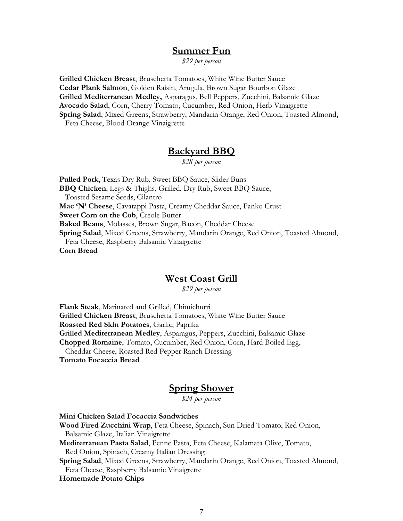### **Summer Fun**

*\$29 per person*

**Grilled Chicken Breast**, Bruschetta Tomatoes, White Wine Butter Sauce **Cedar Plank Salmon**, Golden Raisin, Arugula, Brown Sugar Bourbon Glaze **Grilled Mediterranean Medley,** Asparagus, Bell Peppers, Zucchini, Balsamic Glaze **Avocado Salad**, Corn, Cherry Tomato, Cucumber, Red Onion, Herb Vinaigrette **Spring Salad**, Mixed Greens, Strawberry, Mandarin Orange, Red Onion, Toasted Almond,

Feta Cheese, Blood Orange Vinaigrette

### **Backyard BBQ**

*\$28 per person*

**Pulled Pork**, Texas Dry Rub, Sweet BBQ Sauce, Slider Buns **BBQ Chicken**, Legs & Thighs, Grilled, Dry Rub, Sweet BBQ Sauce, Toasted Sesame Seeds, Cilantro **Mac 'N' Cheese**, Cavatappi Pasta, Creamy Cheddar Sauce, Panko Crust **Sweet Corn on the Cob**, Creole Butter **Baked Beans**, Molasses, Brown Sugar, Bacon, Cheddar Cheese **Spring Salad**, Mixed Greens, Strawberry, Mandarin Orange, Red Onion, Toasted Almond, Feta Cheese, Raspberry Balsamic Vinaigrette **Corn Bread**

### **West Coast Grill**

*\$29 per person*

**Flank Steak**, Marinated and Grilled, Chimichurri

**Grilled Chicken Breast**, Bruschetta Tomatoes, White Wine Butter Sauce

**Roasted Red Skin Potatoes**, Garlic, Paprika

**Grilled Mediterranean Medley**, Asparagus, Peppers, Zucchini, Balsamic Glaze

**Chopped Romaine**, Tomato, Cucumber, Red Onion, Corn, Hard Boiled Egg,

Cheddar Cheese, Roasted Red Pepper Ranch Dressing

**Tomato Focaccia Bread**

### **Spring Shower**

*\$24 per person*

**Mini Chicken Salad Focaccia Sandwiches**

**Wood Fired Zucchini Wrap**, Feta Cheese, Spinach, Sun Dried Tomato, Red Onion, Balsamic Glaze, Italian Vinaigrette

**Mediterranean Pasta Salad**, Penne Pasta, Feta Cheese, Kalamata Olive, Tomato, Red Onion, Spinach, Creamy Italian Dressing

**Spring Salad**, Mixed Greens, Strawberry, Mandarin Orange, Red Onion, Toasted Almond, Feta Cheese, Raspberry Balsamic Vinaigrette

#### **Homemade Potato Chips**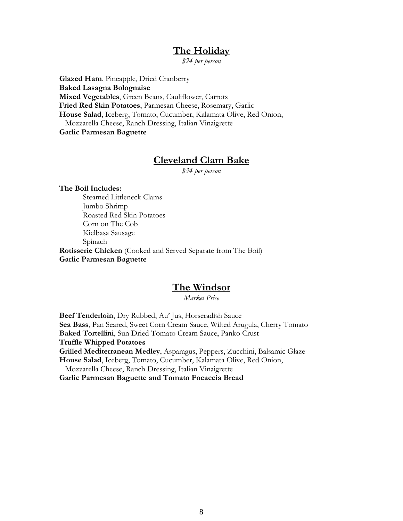## **The Holiday**

*\$24 per person*

**Glazed Ham**, Pineapple, Dried Cranberry **Baked Lasagna Bolognaise Mixed Vegetables**, Green Beans, Cauliflower, Carrots **Fried Red Skin Potatoes**, Parmesan Cheese, Rosemary, Garlic **House Salad**, Iceberg, Tomato, Cucumber, Kalamata Olive, Red Onion, Mozzarella Cheese, Ranch Dressing, Italian Vinaigrette **Garlic Parmesan Baguette** 

## **Cleveland Clam Bake**

*\$34 per person*

**The Boil Includes:** Steamed Littleneck Clams Jumbo Shrimp Roasted Red Skin Potatoes Corn on The Cob Kielbasa Sausage Spinach **Rotisserie Chicken** (Cooked and Served Separate from The Boil) **Garlic Parmesan Baguette**

### **The Windsor**

*Market Price*

**Beef Tenderloin**, Dry Rubbed, Au' Jus, Horseradish Sauce **Sea Bass**, Pan Seared, Sweet Corn Cream Sauce, Wilted Arugula, Cherry Tomato **Baked Tortellini**, Sun Dried Tomato Cream Sauce, Panko Crust **Truffle Whipped Potatoes Grilled Mediterranean Medley**, Asparagus, Peppers, Zucchini, Balsamic Glaze **House Salad**, Iceberg, Tomato, Cucumber, Kalamata Olive, Red Onion, Mozzarella Cheese, Ranch Dressing, Italian Vinaigrette **Garlic Parmesan Baguette and Tomato Focaccia Bread**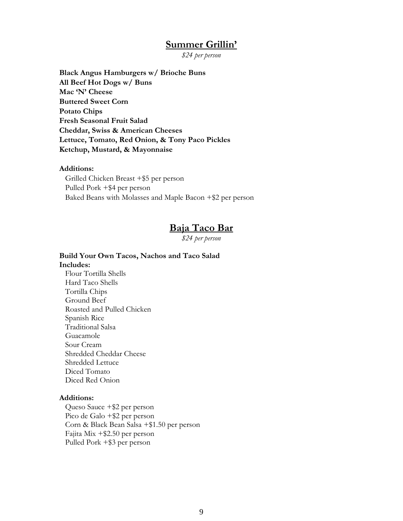### **Summer Grillin'**

*\$24 per person*

**Black Angus Hamburgers w/ Brioche Buns All Beef Hot Dogs w/ Buns Mac 'N' Cheese Buttered Sweet Corn Potato Chips Fresh Seasonal Fruit Salad Cheddar, Swiss & American Cheeses Lettuce, Tomato, Red Onion, & Tony Paco Pickles Ketchup, Mustard, & Mayonnaise**

#### **Additions:**

 Grilled Chicken Breast +\$5 per person Pulled Pork +\$4 per person Baked Beans with Molasses and Maple Bacon +\$2 per person

### **Baja Taco Bar**

*\$24 per person*

#### **Build Your Own Tacos, Nachos and Taco Salad Includes:**

 Flour Tortilla Shells Hard Taco Shells Tortilla Chips Ground Beef Roasted and Pulled Chicken Spanish Rice Traditional Salsa Guacamole Sour Cream Shredded Cheddar Cheese Shredded Lettuce Diced Tomato Diced Red Onion

#### **Additions:**

 Queso Sauce +\$2 per person Pico de Galo +\$2 per person Corn & Black Bean Salsa +\$1.50 per person Fajita Mix +\$2.50 per person Pulled Pork +\$3 per person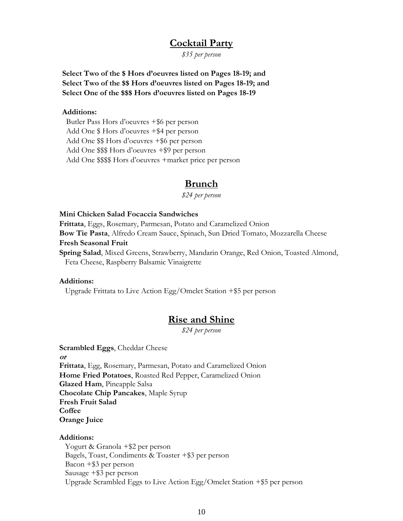### **Cocktail Party**

*\$35 per person*

**Select Two of the \$ Hors d'oeuvres listed on Pages 18-19; and Select Two of the \$\$ Hors d'oeuvres listed on Pages 18-19; and Select One of the \$\$\$ Hors d'oeuvres listed on Pages 18-19**

#### **Additions:**

 Butler Pass Hors d'oeuvres +\$6 per person Add One \$ Hors d'oeuvres +\$4 per person Add One \$\$ Hors d'oeuvres +\$6 per person Add One \$\$\$ Hors d'oeuvres +\$9 per person Add One \$\$\$\$ Hors d'oeuvres +market price per person

### **Brunch**

*\$24 per person*

#### **Mini Chicken Salad Focaccia Sandwiches**

**Frittata**, Eggs, Rosemary, Parmesan, Potato and Caramelized Onion **Bow Tie Pasta**, Alfredo Cream Sauce, Spinach, Sun Dried Tomato, Mozzarella Cheese **Fresh Seasonal Fruit Spring Salad**, Mixed Greens, Strawberry, Mandarin Orange, Red Onion, Toasted Almond, Feta Cheese, Raspberry Balsamic Vinaigrette

#### **Additions:**

Upgrade Frittata to Live Action Egg/Omelet Station +\$5 per person

## **Rise and Shine**

*\$24 per person*

**Scrambled Eggs**, Cheddar Cheese **or Frittata**, Egg, Rosemary, Parmesan, Potato and Caramelized Onion **Home Fried Potatoes**, Roasted Red Pepper, Caramelized Onion **Glazed Ham**, Pineapple Salsa **Chocolate Chip Pancakes**, Maple Syrup **Fresh Fruit Salad Coffee Orange Juice**

#### **Additions:**

 Yogurt & Granola +\$2 per person Bagels, Toast, Condiments & Toaster +\$3 per person Bacon +\$3 per person Sausage +\$3 per person Upgrade Scrambled Eggs to Live Action Egg/Omelet Station +\$5 per person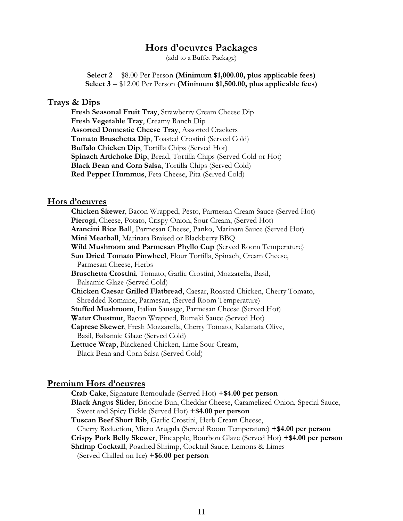### **Hors d'oeuvres Packages**

(add to a Buffet Package)

**Select 2** -- \$8.00 Per Person **(Minimum \$1,000.00, plus applicable fees) Select 3** -- \$12.00 Per Person **(Minimum \$1,500.00, plus applicable fees)**

#### **Trays & Dips**

**Fresh Seasonal Fruit Tray**, Strawberry Cream Cheese Dip **Fresh Vegetable Tray**, Creamy Ranch Dip **Assorted Domestic Cheese Tray**, Assorted Crackers **Tomato Bruschetta Dip**, Toasted Crostini (Served Cold) **Buffalo Chicken Dip**, Tortilla Chips (Served Hot) **Spinach Artichoke Dip**, Bread, Tortilla Chips (Served Cold or Hot) **Black Bean and Corn Salsa**, Tortilla Chips (Served Cold) **Red Pepper Hummus**, Feta Cheese, Pita (Served Cold)

#### **Hors d'oeuvres**

**Chicken Skewer**, Bacon Wrapped, Pesto, Parmesan Cream Sauce (Served Hot) Pierogi, Cheese, Potato, Crispy Onion, Sour Cream, (Served Hot) **Arancini Rice Ball**, Parmesan Cheese, Panko, Marinara Sauce (Served Hot) **Mini Meatball**, Marinara Braised or Blackberry BBQ **Wild Mushroom and Parmesan Phyllo Cup** (Served Room Temperature) **Sun Dried Tomato Pinwheel**, Flour Tortilla, Spinach, Cream Cheese, Parmesan Cheese, Herbs **Bruschetta Crostini**, Tomato, Garlic Crostini, Mozzarella, Basil, Balsamic Glaze (Served Cold) **Chicken Caesar Grilled Flatbread**, Caesar, Roasted Chicken, Cherry Tomato, Shredded Romaine, Parmesan, (Served Room Temperature) **Stuffed Mushroom**, Italian Sausage, Parmesan Cheese (Served Hot) **Water Chestnut**, Bacon Wrapped, Rumaki Sauce (Served Hot) **Caprese Skewer**, Fresh Mozzarella, Cherry Tomato, Kalamata Olive, Basil, Balsamic Glaze (Served Cold) **Lettuce Wrap**, Blackened Chicken, Lime Sour Cream, Black Bean and Corn Salsa (Served Cold)

#### **Premium Hors d'oeuvres**

**Crab Cake**, Signature Remoulade (Served Hot) **+\$4.00 per person Black Angus Slider**, Brioche Bun, Cheddar Cheese, Caramelized Onion, Special Sauce, Sweet and Spicy Pickle (Served Hot) **+\$4.00 per person Tuscan Beef Short Rib**, Garlic Crostini, Herb Cream Cheese, Cherry Reduction, Micro Arugula (Served Room Temperature) **+\$4.00 per person Crispy Pork Belly Skewer**, Pineapple, Bourbon Glaze (Served Hot) **+\$4.00 per person Shrimp Cocktail**, Poached Shrimp, Cocktail Sauce, Lemons & Limes (Served Chilled on Ice) **+\$6.00 per person**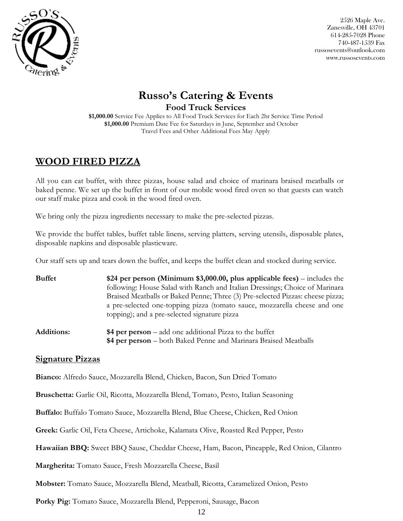

## **Russo's Catering & Events Food Truck Services**

**\$1,000.00** Service Fee Applies to All Food Truck Services for Each 2hr Service Time Period **\$1,000.00** Premium Date Fee for Saturdays in June, September and October Travel Fees and Other Additional Fees May Apply

## **WOOD FIRED PIZZA**

All you can eat buffet, with three pizzas, house salad and choice of marinara braised meatballs or baked penne. We set up the buffet in front of our mobile wood fired oven so that guests can watch our staff make pizza and cook in the wood fired oven.

We bring only the pizza ingredients necessary to make the pre-selected pizzas.

We provide the buffet tables, buffet table linens, serving platters, serving utensils, disposable plates, disposable napkins and disposable plasticware.

Our staff sets up and tears down the buffet, and keeps the buffet clean and stocked during service.

| <b>Buffet</b> | \$24 per person (Minimum $$3,000.00$ , plus applicable fees) – includes the    |
|---------------|--------------------------------------------------------------------------------|
|               | following: House Salad with Ranch and Italian Dressings; Choice of Marinara    |
|               | Braised Meatballs or Baked Penne; Three (3) Pre-selected Pizzas: cheese pizza; |
|               | a pre-selected one-topping pizza (tomato sauce, mozzarella cheese and one      |
|               | topping); and a pre-selected signature pizza                                   |
|               |                                                                                |

**Additions: \$4 per person** – add one additional Pizza to the buffet **\$4 per person** – both Baked Penne and Marinara Braised Meatballs

### **Signature Pizzas**

**Bianco:** Alfredo Sauce, Mozzarella Blend, Chicken, Bacon, Sun Dried Tomato

**Bruschetta:** Garlic Oil, Ricotta, Mozzarella Blend, Tomato, Pesto, Italian Seasoning

**Buffalo:** Buffalo Tomato Sauce, Mozzarella Blend, Blue Cheese, Chicken, Red Onion

**Greek:** Garlic Oil, Feta Cheese, Artichoke, Kalamata Olive, Roasted Red Pepper, Pesto

**Hawaiian BBQ:** Sweet BBQ Sause, Cheddar Cheese, Ham, Bacon, Pineapple, Red Onion, Cilantro

**Margherita:** Tomato Sauce, Fresh Mozzarella Cheese, Basil

**Mobster:** Tomato Sauce, Mozzarella Blend, Meatball, Ricotta, Caramelized Onion, Pesto

**Porky Pig:** Tomato Sauce, Mozzarella Blend, Pepperoni, Sausage, Bacon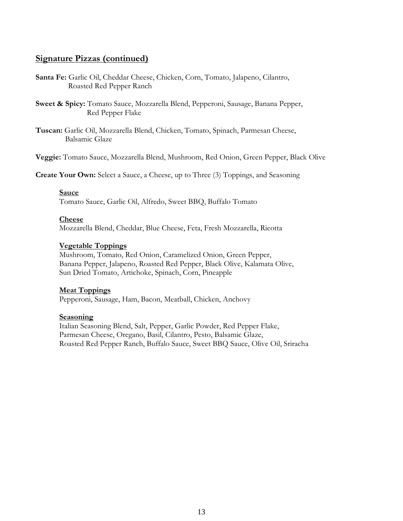### **Signature Pizzas (continued)**

- **Santa Fe:** Garlic Oil, Cheddar Cheese, Chicken, Corn, Tomato, Jalapeno, Cilantro, Roasted Red Pepper Ranch
- **Sweet & Spicy:** Tomato Sauce, Mozzarella Blend, Pepperoni, Sausage, Banana Pepper, Red Pepper Flake
- **Tuscan:** Garlic Oil, Mozzarella Blend, Chicken, Tomato, Spinach, Parmesan Cheese, Balsamic Glaze

**Veggie:** Tomato Sauce, Mozzarella Blend, Mushroom, Red Onion, Green Pepper, Black Olive

**Create Your Own:** Select a Sauce, a Cheese, up to Three (3) Toppings, and Seasoning

#### **Sauce**

Tomato Sauce, Garlic Oil, Alfredo, Sweet BBQ, Buffalo Tomato

#### **Cheese**

Mozzarella Blend, Cheddar, Blue Cheese, Feta, Fresh Mozzarella, Ricotta

#### **Vegetable Toppings**

Mushroom, Tomato, Red Onion, Caramelized Onion, Green Pepper, Banana Pepper, Jalapeno, Roasted Red Pepper, Black Olive, Kalamata Olive, Sun Dried Tomato, Artichoke, Spinach, Corn, Pineapple

#### **Meat Toppings**

Pepperoni, Sausage, Ham, Bacon, Meatball, Chicken, Anchovy

#### **Seasoning**

Italian Seasoning Blend, Salt, Pepper, Garlic Powder, Red Pepper Flake, Parmesan Cheese, Oregano, Basil, Cilantro, Pesto, Balsamic Glaze, Roasted Red Pepper Ranch, Buffalo Sauce, Sweet BBQ Sauce, Olive Oil, Sriracha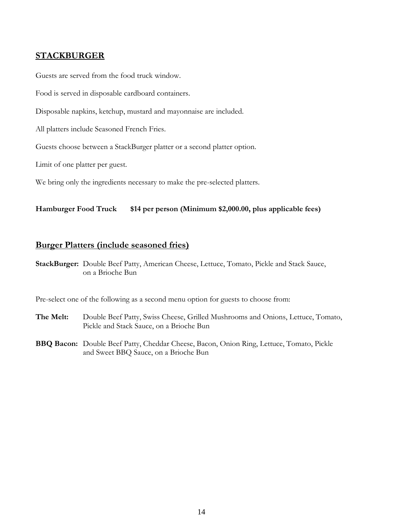### **STACKBURGER**

Guests are served from the food truck window.

Food is served in disposable cardboard containers.

Disposable napkins, ketchup, mustard and mayonnaise are included.

All platters include Seasoned French Fries.

Guests choose between a StackBurger platter or a second platter option.

Limit of one platter per guest.

We bring only the ingredients necessary to make the pre-selected platters.

#### **Hamburger Food Truck \$14 per person (Minimum \$2,000.00, plus applicable fees)**

#### **Burger Platters (include seasoned fries)**

**StackBurger:** Double Beef Patty, American Cheese, Lettuce, Tomato, Pickle and Stack Sauce, on a Brioche Bun

Pre-select one of the following as a second menu option for guests to choose from:

- **The Melt:** Double Beef Patty, Swiss Cheese, Grilled Mushrooms and Onions, Lettuce, Tomato, Pickle and Stack Sauce, on a Brioche Bun
- **BBQ Bacon:** Double Beef Patty, Cheddar Cheese, Bacon, Onion Ring, Lettuce, Tomato, Pickle and Sweet BBQ Sauce, on a Brioche Bun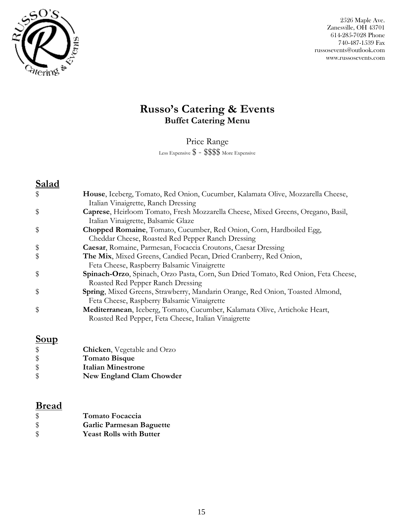

## **Russo's Catering & Events Buffet Catering Menu**

Price Range Less Expensive \$ - \$\$\$\$ More Expensive

## **Salad**

| House, Iceberg, Tomato, Red Onion, Cucumber, Kalamata Olive, Mozzarella Cheese,<br>Italian Vinaigrette, Ranch Dressing             |
|------------------------------------------------------------------------------------------------------------------------------------|
| Caprese, Heirloom Tomato, Fresh Mozzarella Cheese, Mixed Greens, Oregano, Basil,<br>Italian Vinaigrette, Balsamic Glaze            |
| Chopped Romaine, Tomato, Cucumber, Red Onion, Corn, Hardboiled Egg,<br>Cheddar Cheese, Roasted Red Pepper Ranch Dressing           |
| Caesar, Romaine, Parmesan, Focaccia Croutons, Caesar Dressing                                                                      |
| The Mix, Mixed Greens, Candied Pecan, Dried Cranberry, Red Onion,                                                                  |
| Feta Cheese, Raspberry Balsamic Vinaigrette                                                                                        |
| Spinach-Orzo, Spinach, Orzo Pasta, Corn, Sun Dried Tomato, Red Onion, Feta Cheese,<br>Roasted Red Pepper Ranch Dressing            |
| Spring, Mixed Greens, Strawberry, Mandarin Orange, Red Onion, Toasted Almond,<br>Feta Cheese, Raspberry Balsamic Vinaigrette       |
| Mediterranean, Iceberg, Tomato, Cucumber, Kalamata Olive, Artichoke Heart,<br>Roasted Red Pepper, Feta Cheese, Italian Vinaigrette |
|                                                                                                                                    |

## **Soup**

| $\frac{1}{2}$ | <b>Chicken</b> , Vegetable and Orzo |
|---------------|-------------------------------------|
| $\frac{1}{2}$ | <b>Tomato Bisque</b>                |
| $\frac{1}{2}$ | Italian Minestrone                  |
| $\frac{1}{2}$ | New England Clam Chowder            |

## **Bread**

| $\sqrt{3}$   | Tomato Focaccia                 |
|--------------|---------------------------------|
| $\mathbb{S}$ | <b>Garlic Parmesan Baguette</b> |
| $\mathbb S$  | <b>Yeast Rolls with Butter</b>  |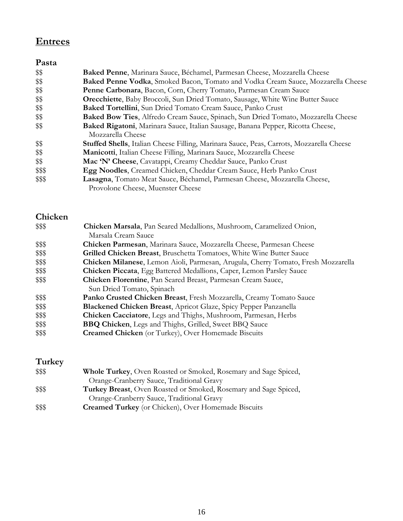# **Entrees**

## **Pasta**

| \$\$   | Baked Penne, Marinara Sauce, Béchamel, Parmesan Cheese, Mozzarella Cheese                        |
|--------|--------------------------------------------------------------------------------------------------|
| \$\$   | Baked Penne Vodka, Smoked Bacon, Tomato and Vodka Cream Sauce, Mozzarella Cheese                 |
| \$\$   | Penne Carbonara, Bacon, Corn, Cherry Tomato, Parmesan Cream Sauce                                |
| \$\$   | <b>Orecchiette</b> , Baby Broccoli, Sun Dried Tomato, Sausage, White Wine Butter Sauce           |
| \$\$   | Baked Tortellini, Sun Dried Tomato Cream Sauce, Panko Crust                                      |
| \$\$   | Baked Bow Ties, Alfredo Cream Sauce, Spinach, Sun Dried Tomato, Mozzarella Cheese                |
| \$\$   | Baked Rigatoni, Marinara Sauce, Italian Sausage, Banana Pepper, Ricotta Cheese,                  |
|        | Mozzarella Cheese                                                                                |
| \$\$   | <b>Stuffed Shells</b> , Italian Cheese Filling, Marinara Sauce, Peas, Carrots, Mozzarella Cheese |
| \$\$   | Manicotti, Italian Cheese Filling, Marinara Sauce, Mozzarella Cheese                             |
| \$\$   | Mac 'N' Cheese, Cavatappi, Creamy Cheddar Sauce, Panko Crust                                     |
| \$\$\$ | Egg Noodles, Creamed Chicken, Cheddar Cream Sauce, Herb Panko Crust                              |
| \$\$\$ | Lasagna, Tomato Meat Sauce, Béchamel, Parmesan Cheese, Mozzarella Cheese,                        |
|        | Provolone Cheese, Muenster Cheese                                                                |

## **Chicken**

| \$\$\$ | Chicken Marsala, Pan Seared Medallions, Mushroom, Caramelized Onion,              |
|--------|-----------------------------------------------------------------------------------|
|        | Marsala Cream Sauce                                                               |
| \$\$\$ | Chicken Parmesan, Marinara Sauce, Mozzarella Cheese, Parmesan Cheese              |
| \$\$\$ | Grilled Chicken Breast, Bruschetta Tomatoes, White Wine Butter Sauce              |
| \$\$\$ | Chicken Milanese, Lemon Aioli, Parmesan, Arugula, Cherry Tomato, Fresh Mozzarella |
| \$\$\$ | Chicken Piccata, Egg Battered Medallions, Caper, Lemon Parsley Sauce              |
| \$\$\$ | Chicken Florentine, Pan Seared Breast, Parmesan Cream Sauce,                      |
|        | Sun Dried Tomato, Spinach                                                         |
| \$\$\$ | Panko Crusted Chicken Breast, Fresh Mozzarella, Creamy Tomato Sauce               |
| \$\$\$ | <b>Blackened Chicken Breast, Apricot Glaze, Spicy Pepper Panzanella</b>           |
| \$\$\$ | Chicken Cacciatore, Legs and Thighs, Mushroom, Parmesan, Herbs                    |
| \$\$\$ | <b>BBQ Chicken</b> , Legs and Thighs, Grilled, Sweet BBQ Sauce                    |
| \$\$\$ | <b>Creamed Chicken</b> (or Turkey), Over Homemade Biscuits                        |

## **Turkey**

| \$\$\$ | <b>Whole Turkey,</b> Oven Roasted or Smoked, Rosemary and Sage Spiced,  |
|--------|-------------------------------------------------------------------------|
|        | Orange-Cranberry Sauce, Traditional Gravy                               |
| \$\$\$ | <b>Turkey Breast,</b> Oven Roasted or Smoked, Rosemary and Sage Spiced, |
|        | Orange-Cranberry Sauce, Traditional Gravy                               |
| \$\$\$ | <b>Creamed Turkey</b> (or Chicken), Over Homemade Biscuits              |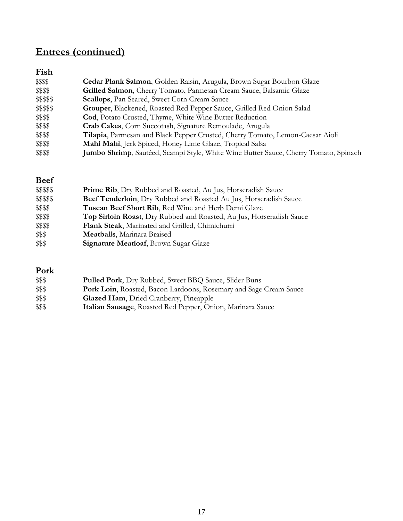# **Entrees (continued)**

| Fish       |                                                                                      |
|------------|--------------------------------------------------------------------------------------|
| \$\$\$\$   | <b>Cedar Plank Salmon, Golden Raisin, Arugula, Brown Sugar Bourbon Glaze</b>         |
| \$\$\$\$   | Grilled Salmon, Cherry Tomato, Parmesan Cream Sauce, Balsamic Glaze                  |
| \$\$\$\$\$ | <b>Scallops</b> , Pan Seared, Sweet Corn Cream Sauce                                 |
| \$\$\$\$\$ | Grouper, Blackened, Roasted Red Pepper Sauce, Grilled Red Onion Salad                |
| \$\$\$\$   | Cod, Potato Crusted, Thyme, White Wine Butter Reduction                              |
| \$\$\$\$   | Crab Cakes, Corn Succotash, Signature Remoulade, Arugula                             |
| \$\$\$\$   | Tilapia, Parmesan and Black Pepper Crusted, Cherry Tomato, Lemon-Caesar Aioli        |
| \$\$\$\$   | Mahi Mahi, Jerk Spiced, Honey Lime Glaze, Tropical Salsa                             |
| \$\$\$\$   | Jumbo Shrimp, Sautéed, Scampi Style, White Wine Butter Sauce, Cherry Tomato, Spinach |

## **Beef**

| \$\$\$\$\$ | <b>Prime Rib,</b> Dry Rubbed and Roasted, Au Jus, Horseradish Sauce  |
|------------|----------------------------------------------------------------------|
| \$\$\$\$\$ | Beef Tenderloin, Dry Rubbed and Roasted Au Jus, Horseradish Sauce    |
| \$\$\$\$   | Tuscan Beef Short Rib, Red Wine and Herb Demi Glaze                  |
| \$\$\$\$   | Top Sirloin Roast, Dry Rubbed and Roasted, Au Jus, Horseradish Sauce |
| \$\$\$\$   | Flank Steak, Marinated and Grilled, Chimichurri                      |
| \$\$\$     | <b>Meatballs</b> , Marinara Braised                                  |
| \$\$\$     | <b>Signature Meatloaf, Brown Sugar Glaze</b>                         |

## **Pork**

| \$\$\$ | <b>Pulled Pork, Dry Rubbed, Sweet BBQ Sauce, Slider Buns</b>      |
|--------|-------------------------------------------------------------------|
| \$\$\$ | Pork Loin, Roasted, Bacon Lardoons, Rosemary and Sage Cream Sauce |
| \$\$\$ | <b>Glazed Ham, Dried Cranberry, Pineapple</b>                     |
| \$\$\$ | Italian Sausage, Roasted Red Pepper, Onion, Marinara Sauce        |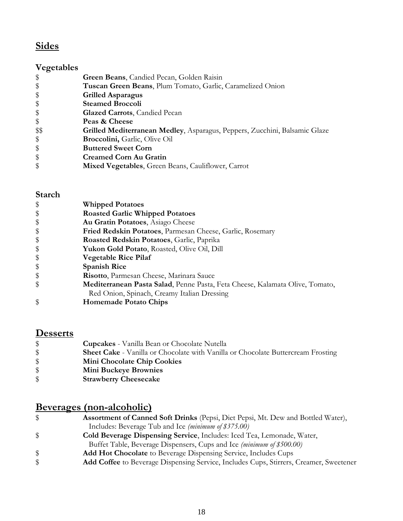# **Sides**

## **Vegetables**

| \$            | Green Beans, Candied Pecan, Golden Raisin                                  |
|---------------|----------------------------------------------------------------------------|
| \$            | Tuscan Green Beans, Plum Tomato, Garlic, Caramelized Onion                 |
| \$            | <b>Grilled Asparagus</b>                                                   |
| \$            | <b>Steamed Broccoli</b>                                                    |
| $\frac{1}{2}$ | <b>Glazed Carrots</b> , Candied Pecan                                      |
| \$            | Peas & Cheese                                                              |
| \$\$          | Grilled Mediterranean Medley, Asparagus, Peppers, Zucchini, Balsamic Glaze |
| \$            | <b>Broccolini, Garlic, Olive Oil</b>                                       |
| \$            | <b>Buttered Sweet Corn</b>                                                 |
| $\frac{1}{2}$ | <b>Creamed Corn Au Gratin</b>                                              |
| \$            | Mixed Vegetables, Green Beans, Cauliflower, Carrot                         |

## **Starch**

| \$<br><b>Whipped Potatoes</b>                                                      |
|------------------------------------------------------------------------------------|
| \$<br><b>Roasted Garlic Whipped Potatoes</b>                                       |
| \$<br>Au Gratin Potatoes, Asiago Cheese                                            |
| \$<br>Fried Redskin Potatoes, Parmesan Cheese, Garlic, Rosemary                    |
| \$<br>Roasted Redskin Potatoes, Garlic, Paprika                                    |
| \$<br>Yukon Gold Potato, Roasted, Olive Oil, Dill                                  |
| \$<br><b>Vegetable Rice Pilaf</b>                                                  |
| \$<br><b>Spanish Rice</b>                                                          |
| \$<br>Risotto, Parmesan Cheese, Marinara Sauce                                     |
| \$<br>Mediterranean Pasta Salad, Penne Pasta, Feta Cheese, Kalamata Olive, Tomato, |
| Red Onion, Spinach, Creamy Italian Dressing                                        |
| \$<br><b>Homemade Potato Chips</b>                                                 |

# **Desserts**

| $\$\$         | <b>Cupcakes</b> - Vanilla Bean or Chocolate Nutella                                     |
|---------------|-----------------------------------------------------------------------------------------|
| <sup>\$</sup> | <b>Sheet Cake</b> - Vanilla or Chocolate with Vanilla or Chocolate Buttercream Frosting |
| <sup>\$</sup> | <b>Mini Chocolate Chip Cookies</b>                                                      |
| \$            | <b>Mini Buckeye Brownies</b>                                                            |
|               | <b>Strawberry Cheesecake</b>                                                            |

## **Beverages (non-alcoholic)**

| \$<br><b>Assortment of Canned Soft Drinks</b> (Pepsi, Diet Pepsi, Mt. Dew and Bottled Water), |
|-----------------------------------------------------------------------------------------------|
| Includes: Beverage Tub and Ice (minimum of \$375.00)                                          |
| \$<br>Cold Beverage Dispensing Service, Includes: Iced Tea, Lemonade, Water,                  |
| Buffet Table, Beverage Dispensers, Cups and Ice (minimum of \$500.00)                         |
| \$<br><b>Add Hot Chocolate</b> to Beverage Dispensing Service, Includes Cups                  |
| \$<br>Add Coffee to Beverage Dispensing Service, Includes Cups, Stirrers, Creamer, Sweetener  |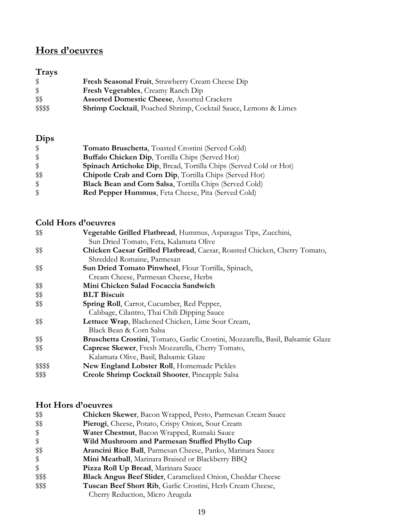## **Hors d'oeuvres**

## **Trays**

| \$           | Fresh Seasonal Fruit, Strawberry Cream Cheese Dip                       |
|--------------|-------------------------------------------------------------------------|
| $\mathbb{S}$ | <b>Fresh Vegetables, Creamy Ranch Dip</b>                               |
| \$\$         | <b>Assorted Domestic Cheese, Assorted Crackers</b>                      |
| \$\$\$\$     | <b>Shrimp Cocktail</b> , Poached Shrimp, Cocktail Sauce, Lemons & Limes |

## **Dips**

| $\frac{1}{2}$           | Tomato Bruschetta, Toasted Crostini (Served Cold)                        |
|-------------------------|--------------------------------------------------------------------------|
| $\sqrt[6]{\frac{1}{2}}$ | <b>Buffalo Chicken Dip, Tortilla Chips (Served Hot)</b>                  |
| $\frac{1}{2}$           | <b>Spinach Artichoke Dip, Bread, Tortilla Chips (Served Cold or Hot)</b> |
| - \$\$                  | Chipotle Crab and Corn Dip, Tortilla Chips (Served Hot)                  |
| $\frac{1}{2}$           | <b>Black Bean and Corn Salsa, Tortilla Chips (Served Cold)</b>           |
| \$                      | <b>Red Pepper Hummus, Feta Cheese, Pita (Served Cold)</b>                |

### **Cold Hors d'oeuvres**

| \$\$     | Vegetable Grilled Flatbread, Hummus, Asparagus Tips, Zucchini,                  |
|----------|---------------------------------------------------------------------------------|
|          | Sun Dried Tomato, Feta, Kalamata Olive                                          |
| \$\$     | Chicken Caesar Grilled Flatbread, Caesar, Roasted Chicken, Cherry Tomato,       |
|          | Shredded Romaine, Parmesan                                                      |
| \$\$     | Sun Dried Tomato Pinwheel, Flour Tortilla, Spinach,                             |
|          | Cream Cheese, Parmesan Cheese, Herbs                                            |
| \$\$     | Mini Chicken Salad Focaccia Sandwich                                            |
| \$\$     | <b>BLT Biscuit</b>                                                              |
| \$\$     | <b>Spring Roll</b> , Carrot, Cucumber, Red Pepper,                              |
|          | Cabbage, Cilantro, Thai Chili Dipping Sauce                                     |
| \$\$     | Lettuce Wrap, Blackened Chicken, Lime Sour Cream,                               |
|          | Black Bean & Corn Salsa                                                         |
| \$\$     | Bruschetta Crostini, Tomato, Garlic Crostini, Mozzarella, Basil, Balsamic Glaze |
| \$\$     | Caprese Skewer, Fresh Mozzarella, Cherry Tomato,                                |
|          | Kalamata Olive, Basil, Balsamic Glaze                                           |
| \$\$\$\$ | New England Lobster Roll, Homemade Pickles                                      |
| \$\$\$   | <b>Creole Shrimp Cocktail Shooter, Pineapple Salsa</b>                          |
|          |                                                                                 |

## **Hot Hors d'oeuvres**

| \$\$   | Chicken Skewer, Bacon Wrapped, Pesto, Parmesan Cream Sauce |
|--------|------------------------------------------------------------|
| \$\$   | Pierogi, Cheese, Potato, Crispy Onion, Sour Cream          |
| \$     | Water Chestnut, Bacon Wrapped, Rumaki Sauce                |
| \$     | Wild Mushroom and Parmesan Stuffed Phyllo Cup              |
| \$\$   | Arancini Rice Ball, Parmesan Cheese, Panko, Marinara Sauce |
| \$     | Mini Meatball, Marinara Braised or Blackberry BBQ          |
| \$     | Pizza Roll Up Bread, Marinara Sauce                        |
| \$\$\$ | Black Angus Beef Slider, Caramelized Onion, Cheddar Cheese |
| \$\$\$ | Tuscan Beef Short Rib, Garlic Crostini, Herb Cream Cheese, |
|        | Cherry Reduction, Micro Arugula                            |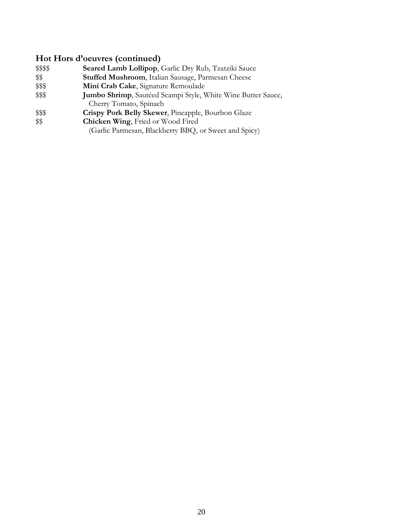### **Hot Hors d'oeuvres (continued)**

- \$\$\$\$ **Seared Lamb Lollipop**, Garlic Dry Rub, Tzatziki Sauce
- \$\$ **Stuffed Mushroom**, Italian Sausage, Parmesan Cheese
- \$\$\$ **Mini Crab Cake**, Signature Remoulade
- \$\$\$ **Jumbo Shrimp**, Sautéed Scampi Style, White Wine Butter Sauce, Cherry Tomato, Spinach
- \$\$\$ **Crispy Pork Belly Skewer**, Pineapple, Bourbon Glaze
- **Chicken Wing**, Fried or Wood Fired
	- (Garlic Parmesan, Blackberry BBQ, or Sweet and Spicy)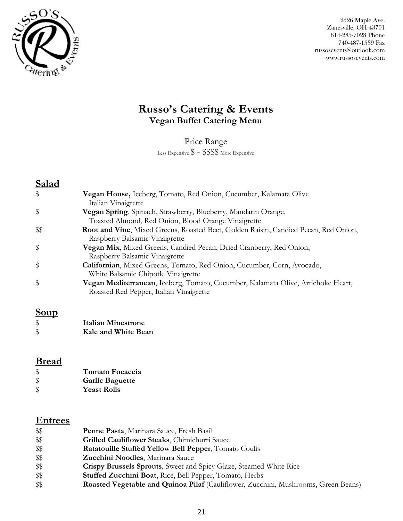

## **Russo's Catering & Events Vegan Buffet Catering Menu**

Price Range

Less Expensive \$ - \$\$\$\$ More Expensive

## **Salad**

| \$   | Vegan House, Iceberg, Tomato, Red Onion, Cucumber, Kalamata Olive<br>Italian Vinaigrette                                    |
|------|-----------------------------------------------------------------------------------------------------------------------------|
| \$   | Vegan Spring, Spinach, Strawberry, Blueberry, Mandarin Orange,<br>Toasted Almond, Red Onion, Blood Orange Vinaigrette       |
| \$\$ | Root and Vine, Mixed Greens, Roasted Beet, Golden Raisin, Candied Pecan, Red Onion,<br>Raspberry Balsamic Vinaigrette       |
| \$   | Vegan Mix, Mixed Greens, Candied Pecan, Dried Cranberry, Red Onion,<br>Raspberry Balsamic Vinaigrette                       |
| \$   | Californian, Mixed Greens, Tomato, Red Onion, Cucumber, Corn, Avocado,<br>White Balsamic Chipotle Vinaigrette               |
| \$   | Vegan Mediterranean, Iceberg, Tomato, Cucumber, Kalamata Olive, Artichoke Heart,<br>Roasted Red Pepper, Italian Vinaigrette |

## **Soup**

| $\boldsymbol{\mathsf{S}}$ | Italian Minestrone  |
|---------------------------|---------------------|
| $\boldsymbol{\mathsf{S}}$ | Kale and White Bean |

## **Bread**

| $\boldsymbol{\mathsf{S}}$  | Tomato Focaccia        |
|----------------------------|------------------------|
| $\frac{1}{2}$              | <b>Garlic Baguette</b> |
| $\boldsymbol{\mathsf{\$}}$ | <b>Yeast Rolls</b>     |

## **Entrees**

| \$\$ | Penne Pasta, Marinara Sauce, Fresh Basil                                                  |
|------|-------------------------------------------------------------------------------------------|
| \$\$ | Grilled Cauliflower Steaks, Chimichurri Sauce                                             |
| \$\$ | <b>Ratatouille Stuffed Yellow Bell Pepper, Tomato Coulis</b>                              |
| \$\$ | Zucchini Noodles, Marinara Sauce                                                          |
| \$\$ | <b>Crispy Brussels Sprouts, Sweet and Spicy Glaze, Steamed White Rice</b>                 |
| \$\$ | <b>Stuffed Zucchini Boat, Rice, Bell Pepper, Tomato, Herbs</b>                            |
| \$\$ | <b>Roasted Vegetable and Quinoa Pilaf</b> (Cauliflower, Zucchini, Mushrooms, Green Beans) |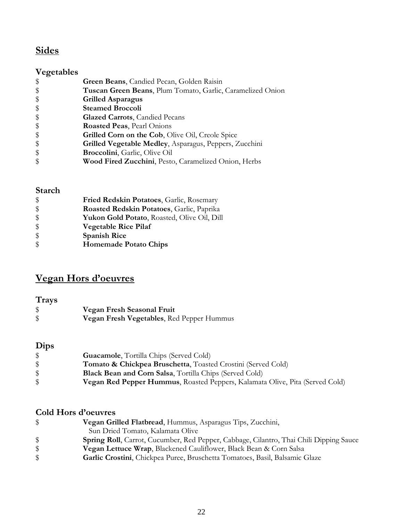## **Sides**

## **Vegetables**

| $\frac{1}{2}$ | Green Beans, Candied Pecan, Golden Raisin                  |
|---------------|------------------------------------------------------------|
| $\frac{1}{2}$ | Tuscan Green Beans, Plum Tomato, Garlic, Caramelized Onion |
| $\frac{1}{2}$ | <b>Grilled Asparagus</b>                                   |
| \$            | <b>Steamed Broccoli</b>                                    |
| $\frac{1}{2}$ | <b>Glazed Carrots</b> , Candied Pecans                     |
| \$            | Roasted Peas, Pearl Onions                                 |
| \$            | Grilled Corn on the Cob, Olive Oil, Creole Spice           |
| $\frac{1}{2}$ | Grilled Vegetable Medley, Asparagus, Peppers, Zucchini     |
| $\frac{1}{2}$ | Broccolini, Garlic, Olive Oil                              |
| $\frac{1}{2}$ | Wood Fired Zucchini, Pesto, Caramelized Onion, Herbs       |
|               |                                                            |

### **Starch**

| $\frac{1}{2}$     | Fried Redskin Potatoes, Garlic, Rosemary           |
|-------------------|----------------------------------------------------|
| $\frac{1}{2}$     | Roasted Redskin Potatoes, Garlic, Paprika          |
| \$                | <b>Yukon Gold Potato, Roasted, Olive Oil, Dill</b> |
| $\boldsymbol{\$}$ | <b>Vegetable Rice Pilaf</b>                        |
| $\frac{1}{2}$     | <b>Spanish Rice</b>                                |
| \$                | <b>Homemade Potato Chips</b>                       |

# **Vegan Hors d'oeuvres**

| <b>Trays</b> |                                           |
|--------------|-------------------------------------------|
| \$           | Vegan Fresh Seasonal Fruit                |
| \$           | Vegan Fresh Vegetables, Red Pepper Hummus |

## **Dips**

| <b>Guacamole</b> , Tortilla Chips (Served Cold)                                     |
|-------------------------------------------------------------------------------------|
| <b>Tomato &amp; Chickpea Bruschetta, Toasted Crostini (Served Cold)</b>             |
| <b>Black Bean and Corn Salsa, Tortilla Chips (Served Cold)</b>                      |
| <b>Vegan Red Pepper Hummus, Roasted Peppers, Kalamata Olive, Pita (Served Cold)</b> |

### **Cold Hors d'oeuvres**

| \$           | Vegan Grilled Flatbread, Hummus, Asparagus Tips, Zucchini,                                    |
|--------------|-----------------------------------------------------------------------------------------------|
|              | Sun Dried Tomato, Kalamata Olive                                                              |
| $\mathbb{S}$ | <b>Spring Roll,</b> Carrot, Cucumber, Red Pepper, Cabbage, Cilantro, Thai Chili Dipping Sauce |
|              | Vegan Lettuce Wrap, Blackened Cauliflower, Black Bean & Corn Salsa                            |
| $\mathbb{S}$ | Garlic Crostini, Chickpea Puree, Bruschetta Tomatoes, Basil, Balsamic Glaze                   |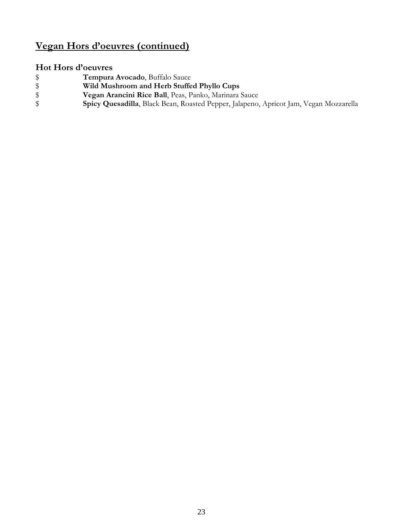## **Vegan Hors d'oeuvres (continued)**

# **Hot Hors d'oeuvres**

- \$ **Tempura Avocado**, Buffalo Sauce<br>
\$ **Wild Mushroom and Herb Stuffe**<br>
\$ **Vegan Arancini Rice Ball**, Peas, P<br>
\$ **Spicy Quesadilla**, Black Bean, Roa
- \$ **Wild Mushroom and Herb Stuffed Phyllo Cups**
	- \$ **Vegan Arancini Rice Ball**, Peas, Panko, Marinara Sauce
- \$ **Spicy Quesadilla**, Black Bean, Roasted Pepper, Jalapeno, Apricot Jam, Vegan Mozzarella